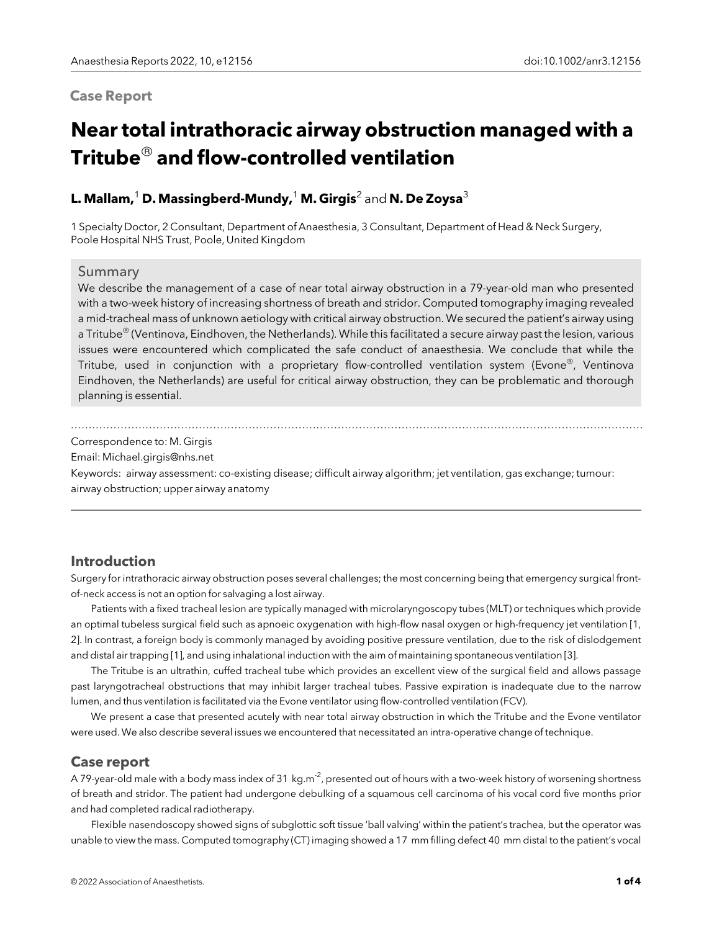## Case Report

# Near total intrathoracic airway obstruction managed with a Tritube $^\circledR$  and flow-controlled ventilation

## L. Mallam,<sup>1</sup> D. Massingberd-Mundy,<sup>1</sup> M. Girgis<sup>2</sup> and N. De Zoysa<sup>3</sup>

1 Specialty Doctor, 2 Consultant, Department of Anaesthesia, 3 Consultant, Department of Head & Neck Surgery, Poole Hospital NHS Trust, Poole, United Kingdom

#### Summary

We describe the management of a case of near total airway obstruction in a 79-year-old man who presented with a two-week history of increasing shortness of breath and stridor. Computed tomography imaging revealed a mid-tracheal mass of unknown aetiology with critical airway obstruction. We secured the patient's airway using a Tritube<sup>®</sup> (Ventinova, Eindhoven, the Netherlands). While this facilitated a secure airway past the lesion, various issues were encountered which complicated the safe conduct of anaesthesia. We conclude that while the Tritube, used in conjunction with a proprietary flow-controlled ventilation system (Evone<sup>®</sup>, Ventinova Eindhoven, the Netherlands) are useful for critical airway obstruction, they can be problematic and thorough planning is essential.

#### ................................................................................................................................................................. Correspondence to: M. Girgis

Email: Michael.girgis@nhs.net

Keywords: airway assessment: co-existing disease; difficult airway algorithm; jet ventilation, gas exchange; tumour: airway obstruction; upper airway anatomy

## Introduction

Surgery for intrathoracic airway obstruction poses several challenges; the most concerning being that emergency surgical frontof-neck access is not an option for salvaging a lost airway.

Patients with a fixed tracheal lesion are typically managed with microlaryngoscopy tubes (MLT) or techniques which provide an optimal tubeless surgical field such as apnoeic oxygenation with high-flow nasal oxygen or high-frequency jet ventilation [1, 2]. In contrast, a foreign body is commonly managed by avoiding positive pressure ventilation, due to the risk of dislodgement and distal air trapping [1], and using inhalational induction with the aim of maintaining spontaneous ventilation [3].

The Tritube is an ultrathin, cuffed tracheal tube which provides an excellent view of the surgical field and allows passage past laryngotracheal obstructions that may inhibit larger tracheal tubes. Passive expiration is inadequate due to the narrow lumen, and thus ventilation is facilitated via the Evone ventilator using flow-controlled ventilation (FCV).

We present a case that presented acutely with near total airway obstruction in which the Tritube and the Evone ventilator were used. We also describe several issues we encountered that necessitated an intra-operative change of technique.

#### Case report

A 79-year-old male with a body mass index of 31 kg.m<sup>-2</sup>, presented out of hours with a two-week history of worsening shortness of breath and stridor. The patient had undergone debulking of a squamous cell carcinoma of his vocal cord five months prior and had completed radical radiotherapy.

Flexible nasendoscopy showed signs of subglottic soft tissue 'ball valving' within the patient's trachea, but the operator was unable to view the mass. Computed tomography (CT) imaging showed a 17 mm filling defect 40 mm distal to the patient's vocal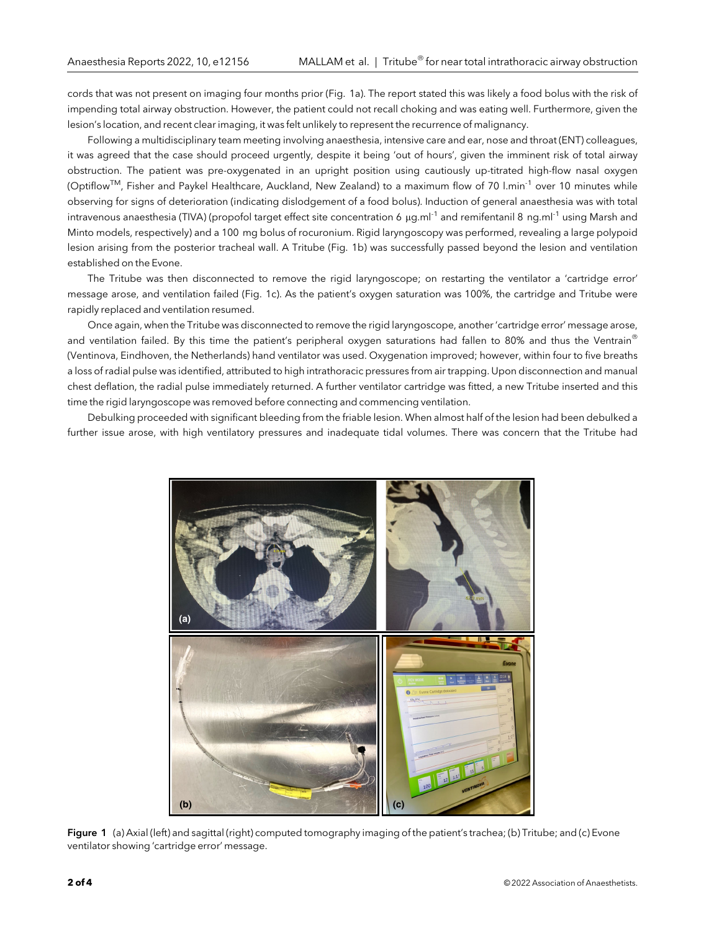cords that was not present on imaging four months prior (Fig. 1a). The report stated this was likely a food bolus with the risk of impending total airway obstruction. However, the patient could not recall choking and was eating well. Furthermore, given the lesion's location, and recent clear imaging, it was felt unlikely to represent the recurrence of malignancy.

Following a multidisciplinary team meeting involving anaesthesia, intensive care and ear, nose and throat (ENT) colleagues, it was agreed that the case should proceed urgently, despite it being 'out of hours', given the imminent risk of total airway obstruction. The patient was pre-oxygenated in an upright position using cautiously up-titrated high-flow nasal oxygen (Optiflow<sup>TM</sup>, Fisher and Paykel Healthcare, Auckland, New Zealand) to a maximum flow of 70 l.min<sup>-1</sup> over 10 minutes while observing for signs of deterioration (indicating dislodgement of a food bolus). Induction of general anaesthesia was with total intravenous anaesthesia (TIVA) (propofol target effect site concentration 6  $\mu q$ .ml<sup>-1</sup> and remifentanil 8 ng.ml<sup>-1</sup> using Marsh and Minto models, respectively) and a 100 mg bolus of rocuronium. Rigid laryngoscopy was performed, revealing a large polypoid lesion arising from the posterior tracheal wall. A Tritube (Fig. 1b) was successfully passed beyond the lesion and ventilation established on the Evone.

The Tritube was then disconnected to remove the rigid laryngoscope; on restarting the ventilator a 'cartridge error' message arose, and ventilation failed (Fig. 1c). As the patient's oxygen saturation was 100%, the cartridge and Tritube were rapidly replaced and ventilation resumed.

Once again, when the Tritube was disconnected to remove the rigid laryngoscope, another 'cartridge error' message arose, and ventilation failed. By this time the patient's peripheral oxygen saturations had fallen to 80% and thus the Ventrain® (Ventinova, Eindhoven, the Netherlands) hand ventilator was used. Oxygenation improved; however, within four to five breaths a loss of radial pulse was identified, attributed to high intrathoracic pressures from air trapping. Upon disconnection and manual chest deflation, the radial pulse immediately returned. A further ventilator cartridge was fitted, a new Tritube inserted and this time the rigid laryngoscope was removed before connecting and commencing ventilation.

Debulking proceeded with significant bleeding from the friable lesion. When almost half of the lesion had been debulked a further issue arose, with high ventilatory pressures and inadequate tidal volumes. There was concern that the Tritube had



Figure 1 (a) Axial (left) and sagittal (right) computed tomography imaging of the patient's trachea; (b) Tritube; and (c) Evone ventilator showing 'cartridge error' message.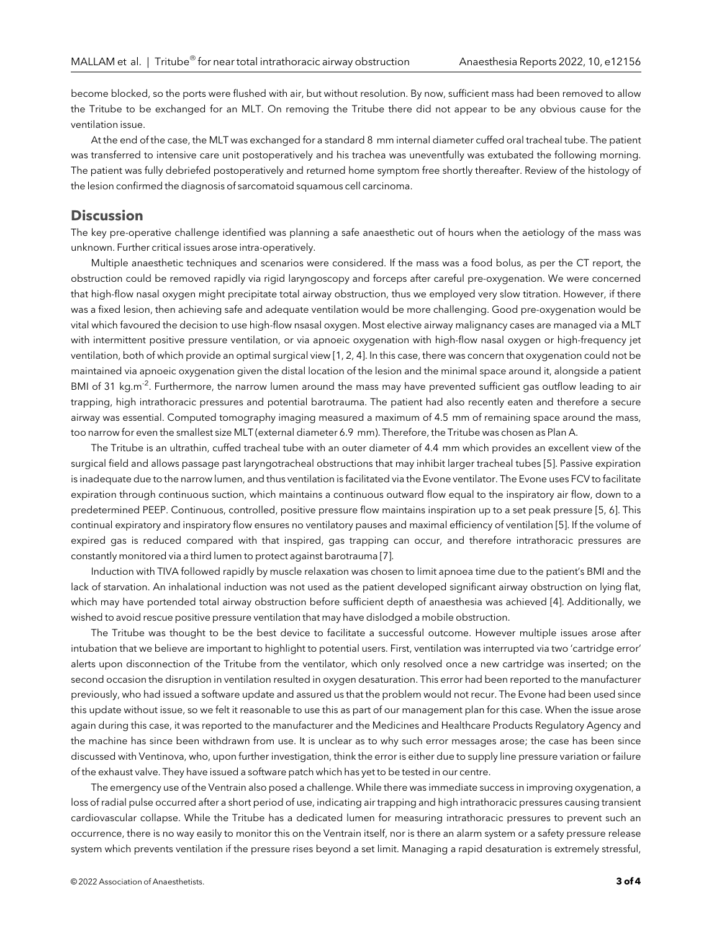become blocked, so the ports were flushed with air, but without resolution. By now, sufficient mass had been removed to allow the Tritube to be exchanged for an MLT. On removing the Tritube there did not appear to be any obvious cause for the ventilation issue.

At the end of the case, the MLT was exchanged for a standard 8 mm internal diameter cuffed oral tracheal tube. The patient was transferred to intensive care unit postoperatively and his trachea was uneventfully was extubated the following morning. The patient was fully debriefed postoperatively and returned home symptom free shortly thereafter. Review of the histology of the lesion confirmed the diagnosis of sarcomatoid squamous cell carcinoma.

### **Discussion**

The key pre-operative challenge identified was planning a safe anaesthetic out of hours when the aetiology of the mass was unknown. Further critical issues arose intra-operatively.

Multiple anaesthetic techniques and scenarios were considered. If the mass was a food bolus, as per the CT report, the obstruction could be removed rapidly via rigid laryngoscopy and forceps after careful pre-oxygenation. We were concerned that high-flow nasal oxygen might precipitate total airway obstruction, thus we employed very slow titration. However, if there was a fixed lesion, then achieving safe and adequate ventilation would be more challenging. Good pre-oxygenation would be vital which favoured the decision to use high-flow nsasal oxygen. Most elective airway malignancy cases are managed via a MLT with intermittent positive pressure ventilation, or via apnoeic oxygenation with high-flow nasal oxygen or high-frequency jet ventilation, both of which provide an optimal surgical view [1, 2, 4]. In this case, there was concern that oxygenation could not be maintained via apnoeic oxygenation given the distal location of the lesion and the minimal space around it, alongside a patient BMI of 31 kg.m<sup>-2</sup>. Furthermore, the narrow lumen around the mass may have prevented sufficient gas outflow leading to air trapping, high intrathoracic pressures and potential barotrauma. The patient had also recently eaten and therefore a secure airway was essential. Computed tomography imaging measured a maximum of 4.5 mm of remaining space around the mass, too narrow for even the smallest size MLT (external diameter 6.9 mm). Therefore, the Tritube was chosen as Plan A.

The Tritube is an ultrathin, cuffed tracheal tube with an outer diameter of 4.4 mm which provides an excellent view of the surgical field and allows passage past laryngotracheal obstructions that may inhibit larger tracheal tubes [5]. Passive expiration is inadequate due to the narrow lumen, and thus ventilation is facilitated via the Evone ventilator. The Evone uses FCV to facilitate expiration through continuous suction, which maintains a continuous outward flow equal to the inspiratory air flow, down to a predetermined PEEP. Continuous, controlled, positive pressure flow maintains inspiration up to a set peak pressure [5, 6]. This continual expiratory and inspiratory flow ensures no ventilatory pauses and maximal efficiency of ventilation [5]. If the volume of expired gas is reduced compared with that inspired, gas trapping can occur, and therefore intrathoracic pressures are constantly monitored via a third lumen to protect against barotrauma [7].

Induction with TIVA followed rapidly by muscle relaxation was chosen to limit apnoea time due to the patient's BMI and the lack of starvation. An inhalational induction was not used as the patient developed significant airway obstruction on lying flat, which may have portended total airway obstruction before sufficient depth of anaesthesia was achieved [4]. Additionally, we wished to avoid rescue positive pressure ventilation that may have dislodged a mobile obstruction.

The Tritube was thought to be the best device to facilitate a successful outcome. However multiple issues arose after intubation that we believe are important to highlight to potential users. First, ventilation was interrupted via two 'cartridge error' alerts upon disconnection of the Tritube from the ventilator, which only resolved once a new cartridge was inserted; on the second occasion the disruption in ventilation resulted in oxygen desaturation. This error had been reported to the manufacturer previously, who had issued a software update and assured us that the problem would not recur. The Evone had been used since this update without issue, so we felt it reasonable to use this as part of our management plan for this case. When the issue arose again during this case, it was reported to the manufacturer and the Medicines and Healthcare Products Regulatory Agency and the machine has since been withdrawn from use. It is unclear as to why such error messages arose; the case has been since discussed with Ventinova, who, upon further investigation, think the error is either due to supply line pressure variation or failure of the exhaust valve. They have issued a software patch which has yet to be tested in our centre.

The emergency use of the Ventrain also posed a challenge. While there was immediate success in improving oxygenation, a loss of radial pulse occurred after a short period of use, indicating air trapping and high intrathoracic pressures causing transient cardiovascular collapse. While the Tritube has a dedicated lumen for measuring intrathoracic pressures to prevent such an occurrence, there is no way easily to monitor this on the Ventrain itself, nor is there an alarm system or a safety pressure release system which prevents ventilation if the pressure rises beyond a set limit. Managing a rapid desaturation is extremely stressful,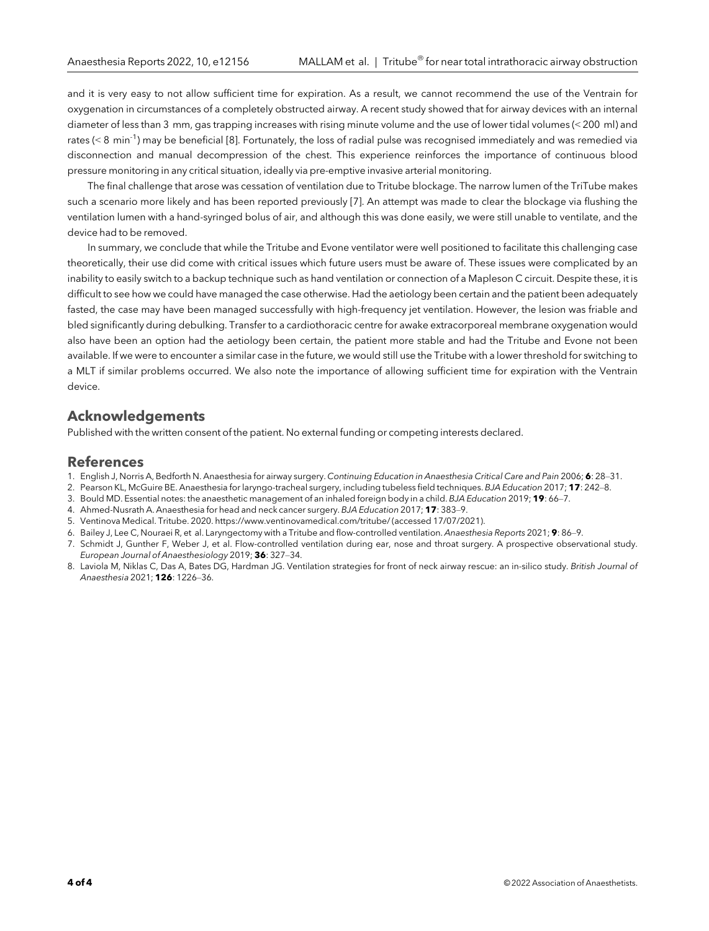and it is very easy to not allow sufficient time for expiration. As a result, we cannot recommend the use of the Ventrain for oxygenation in circumstances of a completely obstructed airway. A recent study showed that for airway devices with an internal diameter of less than 3 mm, gas trapping increases with rising minute volume and the use of lower tidal volumes (< 200 ml) and rates (< 8 min<sup>-1</sup>) may be beneficial [8]. Fortunately, the loss of radial pulse was recognised immediately and was remedied via disconnection and manual decompression of the chest. This experience reinforces the importance of continuous blood pressure monitoring in any critical situation, ideally via pre-emptive invasive arterial monitoring.

The final challenge that arose was cessation of ventilation due to Tritube blockage. The narrow lumen of the TriTube makes such a scenario more likely and has been reported previously [7]. An attempt was made to clear the blockage via flushing the ventilation lumen with a hand-syringed bolus of air, and although this was done easily, we were still unable to ventilate, and the device had to be removed.

In summary, we conclude that while the Tritube and Evone ventilator were well positioned to facilitate this challenging case theoretically, their use did come with critical issues which future users must be aware of. These issues were complicated by an inability to easily switch to a backup technique such as hand ventilation or connection of a Mapleson C circuit. Despite these, it is difficult to see how we could have managed the case otherwise. Had the aetiology been certain and the patient been adequately fasted, the case may have been managed successfully with high-frequency jet ventilation. However, the lesion was friable and bled significantly during debulking. Transfer to a cardiothoracic centre for awake extracorporeal membrane oxygenation would also have been an option had the aetiology been certain, the patient more stable and had the Tritube and Evone not been available. If we were to encounter a similar case in the future, we would still use the Tritube with a lower threshold for switching to a MLT if similar problems occurred. We also note the importance of allowing sufficient time for expiration with the Ventrain device.

## Acknowledgements

Published with the written consent of the patient. No external funding or competing interests declared.

#### References

- 1. English J, Norris A, Bedforth N. Anaesthesia for airway surgery. Continuing Education in Anaesthesia Critical Care and Pain 2006; 6: 28-31.
- 2. Pearson KL, McGuire BE. Anaesthesia for laryngo-tracheal surgery, including tubeless field techniques. BJA Education 2017; 17: 242–8.
- 3. Bould MD. Essential notes: the anaesthetic management of an inhaled foreign body in a child. BJA Education 2019; 19: 66–7.
- 4. Ahmed-Nusrath A. Anaesthesia for head and neck cancer surgery. BJA Education 2017; 17: 383–9.
- 5. Ventinova Medical. Tritube. 2020. https://www.ventinovamedical.com/tritube/ (accessed 17/07/2021).
- 6. Bailey J, Lee C, Nouraei R, et al. Laryngectomy with a Tritube and flow-controlled ventilation. Anaesthesia Reports 2021; 9: 86–9.
- 7. Schmidt J, Gunther F, Weber J, et al. Flow-controlled ventilation during ear, nose and throat surgery. A prospective observational study. European Journal of Anaesthesiology 2019; 36: 327–34.
- 8. Laviola M, Niklas C, Das A, Bates DG, Hardman JG. Ventilation strategies for front of neck airway rescue: an in-silico study. British Journal of Anaesthesia 2021; 126: 1226–36.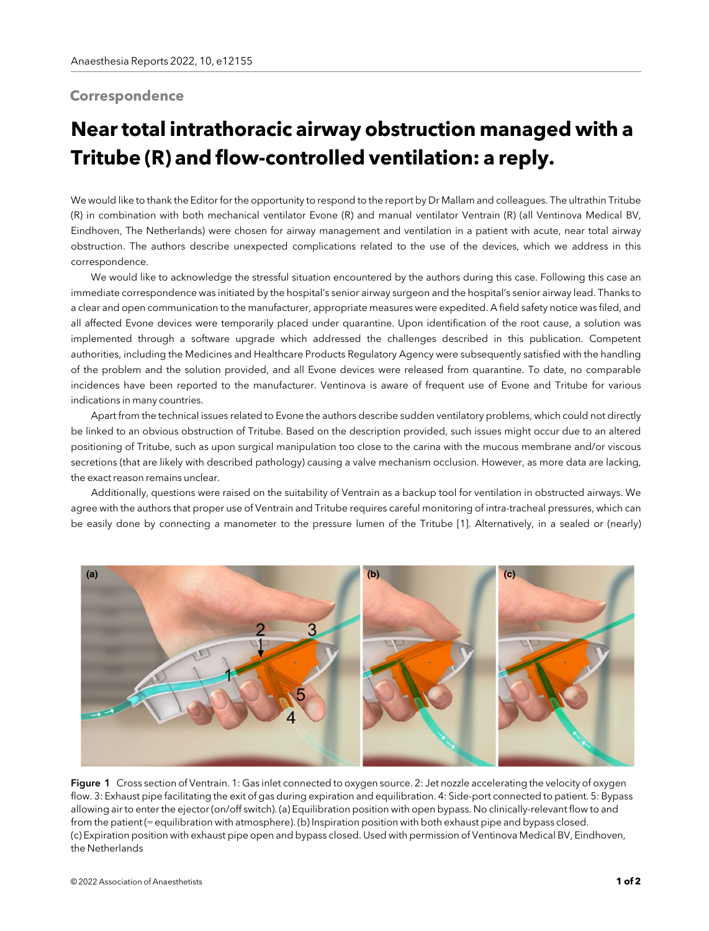## **Correspondence**

## Near total intrathoracic airway obstruction managed with a Tritube (R) and flow-controlled ventilation: a reply.

We would like to thank the Editor for the opportunity to respond to the report by Dr Mallam and colleagues. The ultrathin Tritube (R) in combination with both mechanical ventilator Evone (R) and manual ventilator Ventrain (R) (all Ventinova Medical BV, Eindhoven, The Netherlands) were chosen for airway management and ventilation in a patient with acute, near total airway obstruction. The authors describe unexpected complications related to the use of the devices, which we address in this correspondence.

We would like to acknowledge the stressful situation encountered by the authors during this case. Following this case an immediate correspondence was initiated by the hospital's senior airway surgeon and the hospital's senior airway lead. Thanks to a clear and open communication to the manufacturer, appropriate measures were expedited. A field safety notice was filed, and all affected Evone devices were temporarily placed under quarantine. Upon identification of the root cause, a solution was implemented through a software upgrade which addressed the challenges described in this publication. Competent authorities, including the Medicines and Healthcare Products Regulatory Agency were subsequently satisfied with the handling of the problem and the solution provided, and all Evone devices were released from quarantine. To date, no comparable incidences have been reported to the manufacturer. Ventinova is aware of frequent use of Evone and Tritube for various indications in many countries.

Apart from the technical issues related to Evone the authors describe sudden ventilatory problems, which could not directly be linked to an obvious obstruction of Tritube. Based on the description provided, such issues might occur due to an altered positioning of Tritube, such as upon surgical manipulation too close to the carina with the mucous membrane and/or viscous secretions (that are likely with described pathology) causing a valve mechanism occlusion. However, as more data are lacking, the exact reason remains unclear.

Additionally, questions were raised on the suitability of Ventrain as a backup tool for ventilation in obstructed airways. We agree with the authors that proper use of Ventrain and Tritube requires careful monitoring of intra-tracheal pressures, which can be easily done by connecting a manometer to the pressure lumen of the Tritube [1]. Alternatively, in a sealed or (nearly)



Figure 1 Cross section of Ventrain. 1: Gas inlet connected to oxygen source. 2: Jet nozzle accelerating the velocity of oxygen flow. 3: Exhaust pipe facilitating the exit of gas during expiration and equilibration. 4: Side-port connected to patient. 5: Bypass allowing air to enter the ejector (on/off switch). (a) Equilibration position with open bypass. No clinically-relevant flow to and from the patient (= equilibration with atmosphere). (b) Inspiration position with both exhaust pipe and bypass closed. (c) Expiration position with exhaust pipe open and bypass closed. Used with permission of Ventinova Medical BV, Eindhoven, the Netherlands